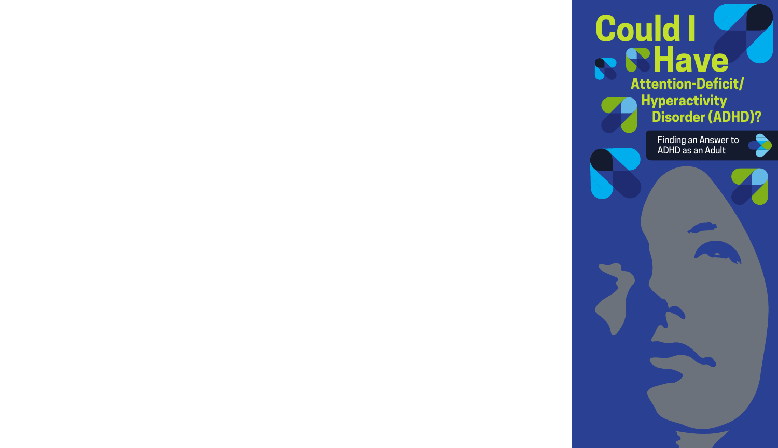# **Could I Have Attention-Deficit/ Hyperactivity Disorder (ADHD)?**

Finding an Answer to ADHD as an Adult

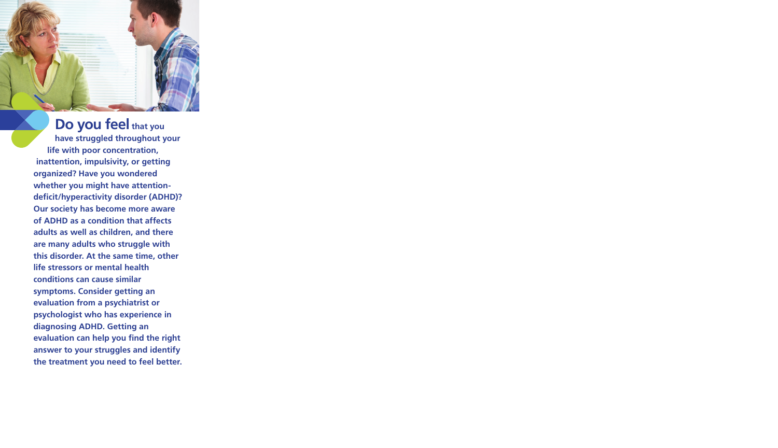## **Do you feel that you**

**have struggled throughout your life with poor concentration, inattention, impulsivity, or getting organized? Have you wondered whether you might have attentiondeficit/hyperactivity disorder (ADHD)? Our society has become more aware of ADHD as a condition that affects adults as well as children, and there are many adults who struggle with this disorder. At the same time, other life stressors or mental health conditions can cause similar symptoms. Consider getting an evaluation from a psychiatrist or psychologist who has experience in diagnosing ADHD. Getting an evaluation can help you find the right answer to your struggles and identify the treatment you need to feel better.**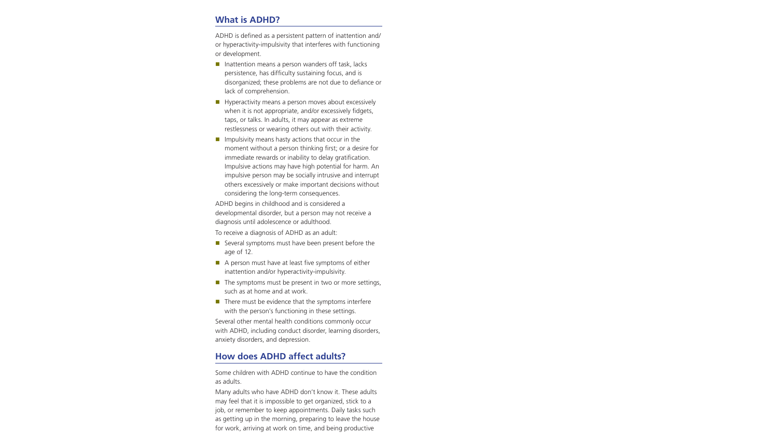## **What is ADHD?**

ADHD is defined as a persistent pattern of inattention and/ or hyperactivity-impulsivity that interferes with functioning or development.

- $\blacksquare$  Inattention means a person wanders off task, lacks persistence, has difficulty sustaining focus, and is disorganized; these problems are not due to defiance or lack of comprehension.
- $\blacksquare$  Hyperactivity means a person moves about excessively when it is not appropriate, and/or excessively fidgets, taps, or talks. In adults, it may appear as extreme restlessness or wearing others out with their activity.
- $\blacksquare$  Impulsivity means hasty actions that occur in the moment without a person thinking first; or a desire for immediate rewards or inability to delay gratification. Impulsive actions may have high potential for harm. An impulsive person may be socially intrusive and interrupt others excessively or make important decisions without considering the long-term consequences.

ADHD begins in childhood and is considered a developmental disorder, but a person may not receive a diagnosis until adolescence or adulthood.

To receive a diagnosis of ADHD as an adult:

- Several symptoms must have been present before the age of 12.
- $\blacksquare$  A person must have at least five symptoms of either inattention and/or hyperactivity-impulsivity.
- $\blacksquare$  The symptoms must be present in two or more settings, such as at home and at work.
- $\blacksquare$  There must be evidence that the symptoms interfere with the person's functioning in these settings.

Several other mental health conditions commonly occur with ADHD, including conduct disorder, learning disorders, anxiety disorders, and depression.

## **How does ADHD affect adults?**

Some children with ADHD continue to have the condition as adults.

Many adults who have ADHD don't know it. These adults may feel that it is impossible to get organized, stick to a job, or remember to keep appointments. Daily tasks such as getting up in the morning, preparing to leave the house for work, arriving at work on time, and being productive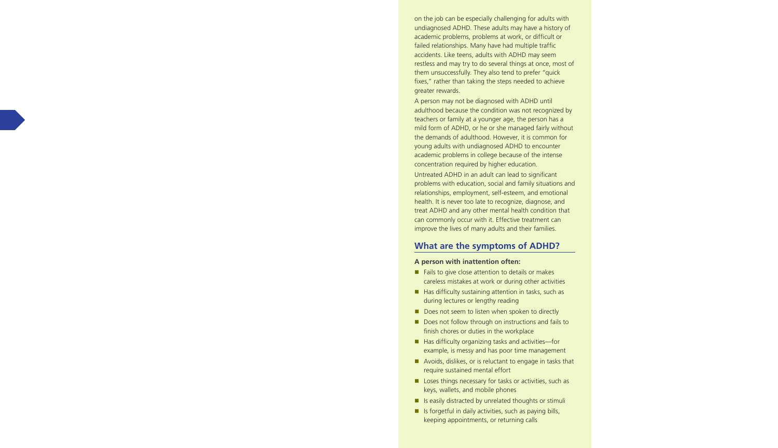on the job can be especially challenging for adults with undiagnosed ADHD. These adults may have a history of academic problems, problems at work, or difficult or failed relationships. Many have had multiple traffic accidents. Like teens, adults with ADHD may seem restless and may try to do several things at once, most of them unsuccessfully. They also tend to prefer "quick fixes," rather than taking the steps needed to achieve greater rewards.

A person may not be diagnosed with ADHD until adulthood because the condition was not recognized by teachers or family at a younger age, the person has a mild form of ADHD, or he or she managed fairly without the demands of adulthood. However, it is common for young adults with undiagnosed ADHD to encounter academic problems in college because of the intense concentration required by higher education.

Untreated ADHD in an adult can lead to significant problems with education, social and family situations and relationships, employment, self-esteem, and emotional health. It is never too late to recognize, diagnose, and treat ADHD and any other mental health condition that can commonly occur with it. Effective treatment can improve the lives of many adults and their families.

## **What are the symptoms of ADHD?**

#### **A person with inattention often:**

- $\blacksquare$  Fails to give close attention to details or makes careless mistakes at work or during other activities
- $\blacksquare$  Has difficulty sustaining attention in tasks, such as during lectures or lengthy reading
- Does not seem to listen when spoken to directly
- Does not follow through on instructions and fails to finish chores or duties in the workplace
- Has difficulty organizing tasks and activities-for example, is messy and has poor time management
- Avoids, dislikes, or is reluctant to engage in tasks that require sustained mental effort
- $\blacksquare$  Loses things necessary for tasks or activities, such as keys, wallets, and mobile phones
- Is easily distracted by unrelated thoughts or stimuli
- $\blacksquare$  Is forgetful in daily activities, such as paying bills, keeping appointments, or returning calls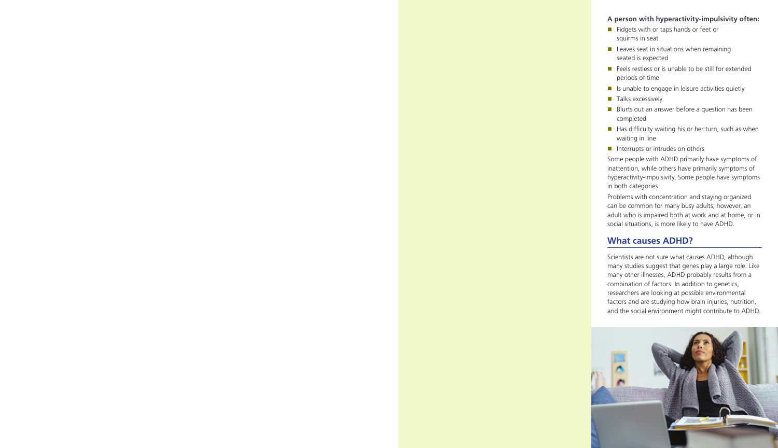#### **A person with hyperactivity-impulsivity often:**

- $\blacksquare$  Fidgets with or taps hands or feet or squirms in seat
- $\blacksquare$  Leaves seat in situations when remaining seated is expected
- $\blacksquare$  Feels restless or is unable to be still for extended periods of time
- $\blacksquare$  Is unable to engage in leisure activities quietly
- $\blacksquare$  Talks excessively
- $\blacksquare$  Blurts out an answer before a question has been completed
- $\blacksquare$  Has difficulty waiting his or her turn, such as when waiting in line
- $\blacksquare$  Interrupts or intrudes on others

Some people with ADHD primarily have symptoms of inattention, while others have primarily symptoms of hyperactivity-impulsivity. Some people have symptoms in both categories.

Problems with concentration and staying organized can be common for many busy adults; however, an adult who is impaired both at work and at home, or in social situations, is more likely to have ADHD.

## **What causes ADHD?**

Scientists are not sure what causes ADHD, although many studies suggest that genes play a large role. Like many other illnesses, ADHD probably results from a combination of factors. In addition to genetics, researchers are looking at possible environmental factors and are studying how brain injuries, nutrition, and the social environment might contribute to ADHD.

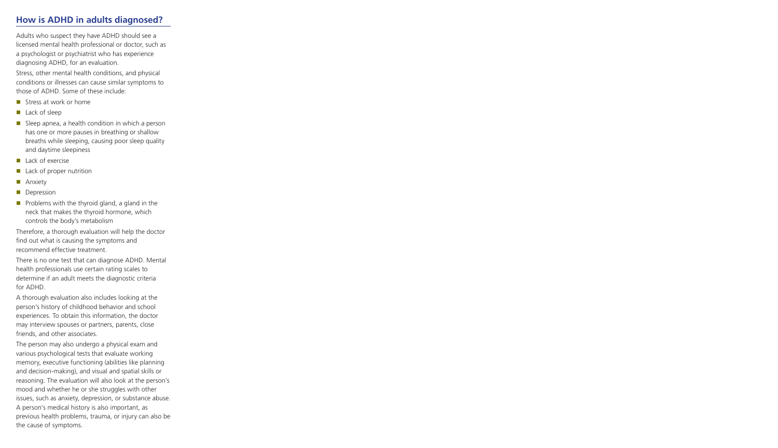## **How is ADHD in adults diagnosed?**

Adults who suspect they have ADHD should see a licensed mental health professional or doctor, such as a psychologist or psychiatrist who has experience diagnosing ADHD, for an evaluation.

Stress, other mental health conditions, and physical conditions or illnesses can cause similar symptoms to those of ADHD. Some of these include:

- **n** Stress at work or home
- $\blacksquare$  Lack of sleep
- $\blacksquare$  Sleep apnea, a health condition in which a person has one or more pauses in breathing or shallow breaths while sleeping, causing poor sleep quality and daytime sleepiness
- $\blacksquare$  Lack of exercise
- $\blacksquare$  Lack of proper nutrition
- **n** Anxiety
- **Depression**
- $\blacksquare$  Problems with the thyroid gland, a gland in the neck that makes the thyroid hormone, which controls the body's metabolism

Therefore, a thorough evaluation will help the doctor find out what is causing the symptoms and recommend effective treatment.

There is no one test that can diagnose ADHD. Mental health professionals use certain rating scales to determine if an adult meets the diagnostic criteria for ADHD.

A thorough evaluation also includes looking at the person's history of childhood behavior and school experiences. To obtain this information, the doctor may interview spouses or partners, parents, close friends, and other associates.

The person may also undergo a physical exam and various psychological tests that evaluate working memory, executive functioning (abilities like planning and decision-making), and visual and spatial skills or reasoning. The evaluation will also look at the person's mood and whether he or she struggles with other issues, such as anxiety, depression, or substance abuse. A person's medical history is also important, as previous health problems, trauma, or injury can also be the cause of symptoms.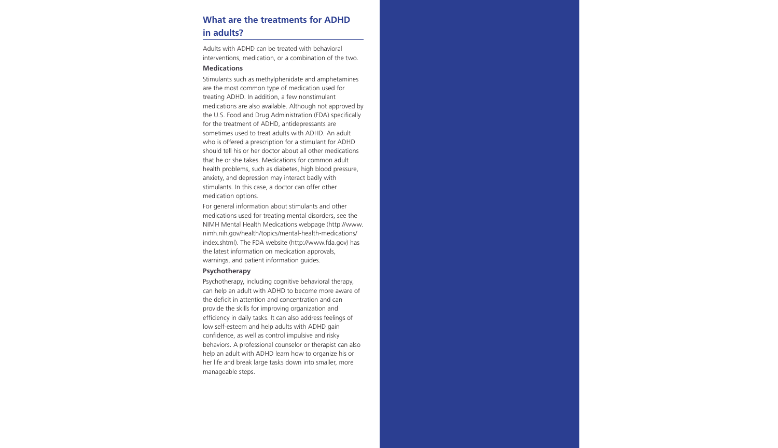## **What are the treatments for ADHD in adults?**

Adults with ADHD can be treated with behavioral interventions, medication, or a combination of the two.

#### **Medications**

Stimulants such as methylphenidate and amphetamines are the most common type of medication used for treating ADHD. In addition, a few nonstimulant medications are also available. Although not approved by the U.S. Food and Drug Administration (FDA) specifically for the treatment of ADHD, antidepressants are sometimes used to treat adults with ADHD. An adult who is offered a prescription for a stimulant for ADHD should tell his or her doctor about all other medications that he or she takes. Medications for common adult health problems, such as diabetes, high blood pressure, anxiety, and depression may interact badly with stimulants. In this case, a doctor can offer other medication options.

For general information about stimulants and other medications used for treating mental disorders, see the NIMH Mental Health Medications webpage (http://www. nimh.nih.gov/health/topics/mental-health-medications/ index.shtml). The FDA website (http://www.fda.gov) has the latest information on medication approvals, warnings, and patient information guides.

#### **Psychotherapy**

Psychotherapy, including cognitive behavioral therapy, can help an adult with ADHD to become more aware of the deficit in attention and concentration and can provide the skills for improving organization and efficiency in daily tasks. It can also address feelings of low self-esteem and help adults with ADHD gain confidence, as well as control impulsive and risky behaviors. A professional counselor or therapist can also help an adult with ADHD learn how to organize his or her life and break large tasks down into smaller, more manageable steps.